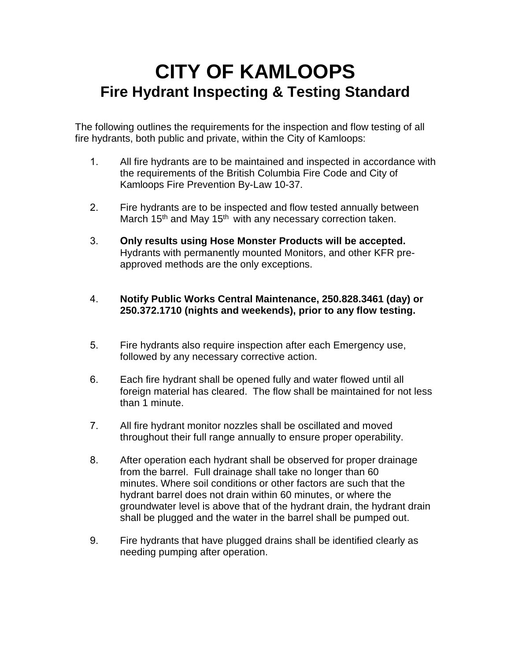## **CITY OF KAMLOOPS Fire Hydrant Inspecting & Testing Standard**

The following outlines the requirements for the inspection and flow testing of all fire hydrants, both public and private, within the City of Kamloops:

- 1. All fire hydrants are to be maintained and inspected in accordance with the requirements of the British Columbia Fire Code and City of Kamloops Fire Prevention By-Law 10-37.
- 2. Fire hydrants are to be inspected and flow tested annually between March 15<sup>th</sup> and May 15<sup>th</sup> with any necessary correction taken.
- 3. **Only results using Hose Monster Products will be accepted.**  Hydrants with permanently mounted Monitors, and other KFR preapproved methods are the only exceptions.
- 4. **Notify Public Works Central Maintenance, 250.828.3461 (day) or 250.372.1710 (nights and weekends), prior to any flow testing.**
- 5. Fire hydrants also require inspection after each Emergency use, followed by any necessary corrective action.
- 6. Each fire hydrant shall be opened fully and water flowed until all foreign material has cleared. The flow shall be maintained for not less than 1 minute.
- 7. All fire hydrant monitor nozzles shall be oscillated and moved throughout their full range annually to ensure proper operability.
- 8. After operation each hydrant shall be observed for proper drainage from the barrel. Full drainage shall take no longer than 60 minutes. Where soil conditions or other factors are such that the hydrant barrel does not drain within 60 minutes, or where the groundwater level is above that of the hydrant drain, the hydrant drain shall be plugged and the water in the barrel shall be pumped out.
- 9. Fire hydrants that have plugged drains shall be identified clearly as needing pumping after operation.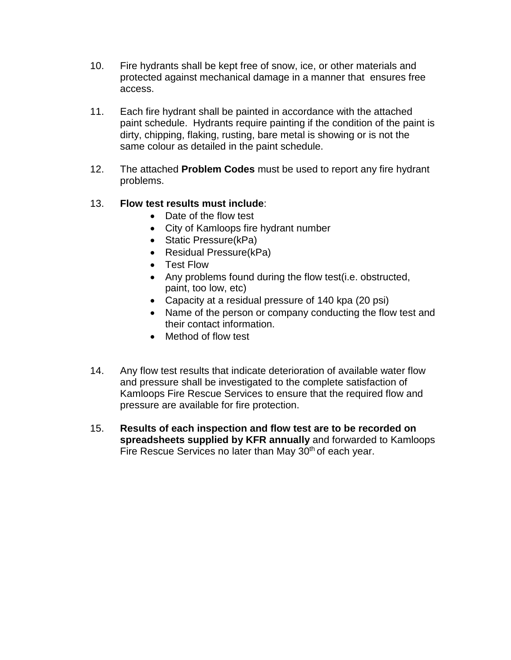- 10. Fire hydrants shall be kept free of snow, ice, or other materials and protected against mechanical damage in a manner that ensures free access.
- 11. Each fire hydrant shall be painted in accordance with the attached paint schedule. Hydrants require painting if the condition of the paint is dirty, chipping, flaking, rusting, bare metal is showing or is not the same colour as detailed in the paint schedule.
- 12. The attached **Problem Codes** must be used to report any fire hydrant problems.

#### 13. **Flow test results must include**:

- Date of the flow test
- City of Kamloops fire hydrant number
- Static Pressure(kPa)
- Residual Pressure(kPa)
- Test Flow
- Any problems found during the flow test(i.e. obstructed, paint, too low, etc)
- Capacity at a residual pressure of 140 kpa (20 psi)
- Name of the person or company conducting the flow test and their contact information.
- Method of flow test
- 14. Any flow test results that indicate deterioration of available water flow and pressure shall be investigated to the complete satisfaction of Kamloops Fire Rescue Services to ensure that the required flow and pressure are available for fire protection.
- 15. **Results of each inspection and flow test are to be recorded on spreadsheets supplied by KFR annually** and forwarded to Kamloops Fire Rescue Services no later than May 30<sup>th</sup> of each year.